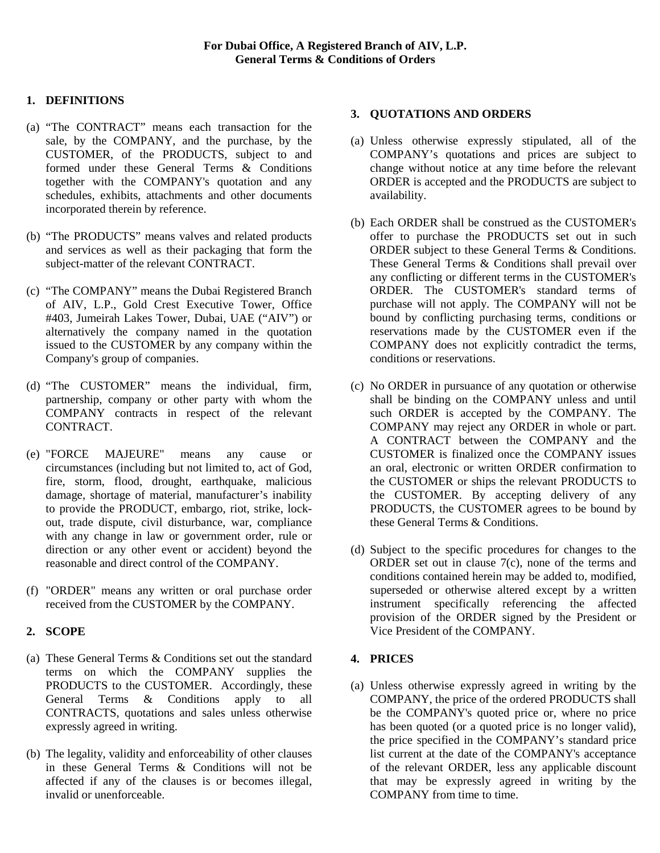# **1. DEFINITIONS**

- (a) "The CONTRACT" means each transaction for the sale, by the COMPANY, and the purchase, by the CUSTOMER, of the PRODUCTS, subject to and formed under these General Terms & Conditions together with the COMPANY's quotation and any schedules, exhibits, attachments and other documents incorporated therein by reference.
- (b) "The PRODUCTS" means valves and related products and services as well as their packaging that form the subject-matter of the relevant CONTRACT.
- (c) "The COMPANY" means the Dubai Registered Branch of AIV, L.P., Gold Crest Executive Tower, Office #403, Jumeirah Lakes Tower, Dubai, UAE ("AIV") or alternatively the company named in the quotation issued to the CUSTOMER by any company within the Company's group of companies.
- (d) "The CUSTOMER" means the individual, firm, partnership, company or other party with whom the COMPANY contracts in respect of the relevant CONTRACT.
- (e) "FORCE MAJEURE" means any cause or circumstances (including but not limited to, act of God, fire, storm, flood, drought, earthquake, malicious damage, shortage of material, manufacturer's inability to provide the PRODUCT, embargo, riot, strike, lockout, trade dispute, civil disturbance, war, compliance with any change in law or government order, rule or direction or any other event or accident) beyond the reasonable and direct control of the COMPANY.
- (f) "ORDER" means any written or oral purchase order received from the CUSTOMER by the COMPANY.

## **2. SCOPE**

- (a) These General Terms & Conditions set out the standard terms on which the COMPANY supplies the PRODUCTS to the CUSTOMER. Accordingly, these General Terms & Conditions apply to all CONTRACTS, quotations and sales unless otherwise expressly agreed in writing.
- (b) The legality, validity and enforceability of other clauses in these General Terms & Conditions will not be affected if any of the clauses is or becomes illegal, invalid or unenforceable.

#### **3. QUOTATIONS AND ORDERS**

- (a) Unless otherwise expressly stipulated, all of the COMPANY's quotations and prices are subject to change without notice at any time before the relevant ORDER is accepted and the PRODUCTS are subject to availability.
- (b) Each ORDER shall be construed as the CUSTOMER's offer to purchase the PRODUCTS set out in such ORDER subject to these General Terms & Conditions. These General Terms & Conditions shall prevail over any conflicting or different terms in the CUSTOMER's ORDER. The CUSTOMER's standard terms of purchase will not apply. The COMPANY will not be bound by conflicting purchasing terms, conditions or reservations made by the CUSTOMER even if the COMPANY does not explicitly contradict the terms, conditions or reservations.
- (c) No ORDER in pursuance of any quotation or otherwise shall be binding on the COMPANY unless and until such ORDER is accepted by the COMPANY. The COMPANY may reject any ORDER in whole or part. A CONTRACT between the COMPANY and the CUSTOMER is finalized once the COMPANY issues an oral, electronic or written ORDER confirmation to the CUSTOMER or ships the relevant PRODUCTS to the CUSTOMER. By accepting delivery of any PRODUCTS, the CUSTOMER agrees to be bound by these General Terms & Conditions.
- (d) Subject to the specific procedures for changes to the ORDER set out in clause 7(c), none of the terms and conditions contained herein may be added to, modified, superseded or otherwise altered except by a written instrument specifically referencing the affected provision of the ORDER signed by the President or Vice President of the COMPANY.

## **4. PRICES**

(a) Unless otherwise expressly agreed in writing by the COMPANY, the price of the ordered PRODUCTS shall be the COMPANY's quoted price or, where no price has been quoted (or a quoted price is no longer valid), the price specified in the COMPANY's standard price list current at the date of the COMPANY's acceptance of the relevant ORDER, less any applicable discount that may be expressly agreed in writing by the COMPANY from time to time.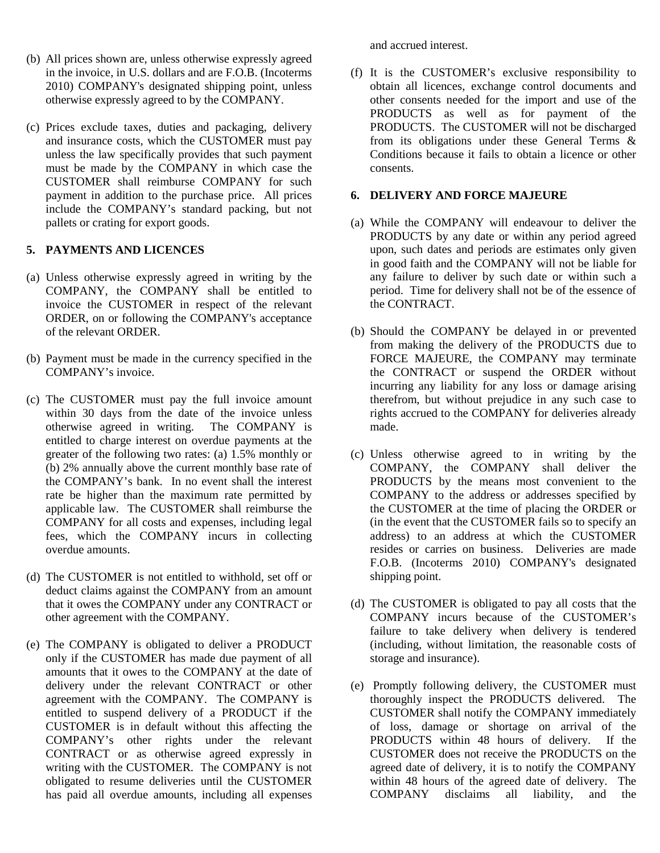- (b) All prices shown are, unless otherwise expressly agreed in the invoice, in U.S. dollars and are F.O.B. (Incoterms 2010) COMPANY's designated shipping point, unless otherwise expressly agreed to by the COMPANY.
- (c) Prices exclude taxes, duties and packaging, delivery and insurance costs, which the CUSTOMER must pay unless the law specifically provides that such payment must be made by the COMPANY in which case the CUSTOMER shall reimburse COMPANY for such payment in addition to the purchase price. All prices include the COMPANY's standard packing, but not pallets or crating for export goods.

## **5. PAYMENTS AND LICENCES**

- (a) Unless otherwise expressly agreed in writing by the COMPANY, the COMPANY shall be entitled to invoice the CUSTOMER in respect of the relevant ORDER, on or following the COMPANY's acceptance of the relevant ORDER.
- (b) Payment must be made in the currency specified in the COMPANY's invoice.
- (c) The CUSTOMER must pay the full invoice amount within 30 days from the date of the invoice unless otherwise agreed in writing. The COMPANY is entitled to charge interest on overdue payments at the greater of the following two rates: (a) 1.5% monthly or (b) 2% annually above the current monthly base rate of the COMPANY's bank. In no event shall the interest rate be higher than the maximum rate permitted by applicable law. The CUSTOMER shall reimburse the COMPANY for all costs and expenses, including legal fees, which the COMPANY incurs in collecting overdue amounts.
- (d) The CUSTOMER is not entitled to withhold, set off or deduct claims against the COMPANY from an amount that it owes the COMPANY under any CONTRACT or other agreement with the COMPANY.
- (e) The COMPANY is obligated to deliver a PRODUCT only if the CUSTOMER has made due payment of all amounts that it owes to the COMPANY at the date of delivery under the relevant CONTRACT or other agreement with the COMPANY. The COMPANY is entitled to suspend delivery of a PRODUCT if the CUSTOMER is in default without this affecting the COMPANY's other rights under the relevant CONTRACT or as otherwise agreed expressly in writing with the CUSTOMER. The COMPANY is not obligated to resume deliveries until the CUSTOMER has paid all overdue amounts, including all expenses

and accrued interest.

(f) It is the CUSTOMER's exclusive responsibility to obtain all licences, exchange control documents and other consents needed for the import and use of the PRODUCTS as well as for payment of the PRODUCTS. The CUSTOMER will not be discharged from its obligations under these General Terms & Conditions because it fails to obtain a licence or other consents.

## **6. DELIVERY AND FORCE MAJEURE**

- (a) While the COMPANY will endeavour to deliver the PRODUCTS by any date or within any period agreed upon, such dates and periods are estimates only given in good faith and the COMPANY will not be liable for any failure to deliver by such date or within such a period. Time for delivery shall not be of the essence of the CONTRACT.
- (b) Should the COMPANY be delayed in or prevented from making the delivery of the PRODUCTS due to FORCE MAJEURE, the COMPANY may terminate the CONTRACT or suspend the ORDER without incurring any liability for any loss or damage arising therefrom, but without prejudice in any such case to rights accrued to the COMPANY for deliveries already made.
- (c) Unless otherwise agreed to in writing by the COMPANY, the COMPANY shall deliver the PRODUCTS by the means most convenient to the COMPANY to the address or addresses specified by the CUSTOMER at the time of placing the ORDER or (in the event that the CUSTOMER fails so to specify an address) to an address at which the CUSTOMER resides or carries on business. Deliveries are made F.O.B. (Incoterms 2010) COMPANY's designated shipping point.
- (d) The CUSTOMER is obligated to pay all costs that the COMPANY incurs because of the CUSTOMER's failure to take delivery when delivery is tendered (including, without limitation, the reasonable costs of storage and insurance).
- (e) Promptly following delivery, the CUSTOMER must thoroughly inspect the PRODUCTS delivered. The CUSTOMER shall notify the COMPANY immediately of loss, damage or shortage on arrival of the PRODUCTS within 48 hours of delivery. If the CUSTOMER does not receive the PRODUCTS on the agreed date of delivery, it is to notify the COMPANY within 48 hours of the agreed date of delivery. The COMPANY disclaims all liability, and the disclaims all liability, and the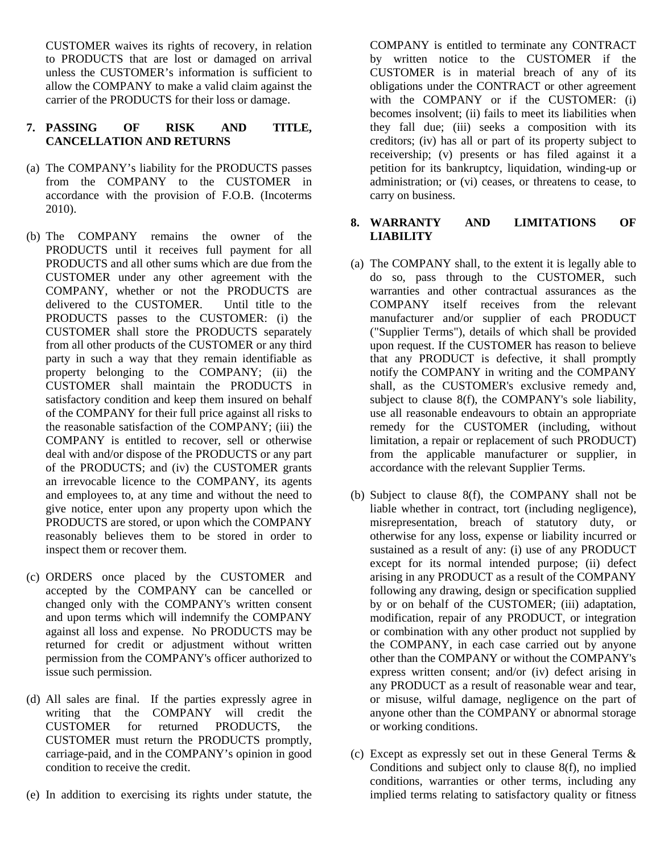CUSTOMER waives its rights of recovery, in relation to PRODUCTS that are lost or damaged on arrival unless the CUSTOMER's information is sufficient to allow the COMPANY to make a valid claim against the carrier of the PRODUCTS for their loss or damage.

## **7. PASSING OF RISK AND TITLE, CANCELLATION AND RETURNS**

- (a) The COMPANY's liability for the PRODUCTS passes from the COMPANY to the CUSTOMER in accordance with the provision of F.O.B. (Incoterms 2010).
- (b) The COMPANY remains the owner of the PRODUCTS until it receives full payment for all PRODUCTS and all other sums which are due from the CUSTOMER under any other agreement with the COMPANY, whether or not the PRODUCTS are delivered to the CUSTOMER. Until title to the PRODUCTS passes to the CUSTOMER: (i) the CUSTOMER shall store the PRODUCTS separately from all other products of the CUSTOMER or any third party in such a way that they remain identifiable as property belonging to the COMPANY; (ii) the CUSTOMER shall maintain the PRODUCTS in satisfactory condition and keep them insured on behalf of the COMPANY for their full price against all risks to the reasonable satisfaction of the COMPANY; (iii) the COMPANY is entitled to recover, sell or otherwise deal with and/or dispose of the PRODUCTS or any part of the PRODUCTS; and (iv) the CUSTOMER grants an irrevocable licence to the COMPANY, its agents and employees to, at any time and without the need to give notice, enter upon any property upon which the PRODUCTS are stored, or upon which the COMPANY reasonably believes them to be stored in order to inspect them or recover them.
- (c) ORDERS once placed by the CUSTOMER and accepted by the COMPANY can be cancelled or changed only with the COMPANY's written consent and upon terms which will indemnify the COMPANY against all loss and expense. No PRODUCTS may be returned for credit or adjustment without written permission from the COMPANY's officer authorized to issue such permission.
- (d) All sales are final. If the parties expressly agree in writing that the COMPANY will credit the CUSTOMER for returned PRODUCTS, the CUSTOMER must return the PRODUCTS promptly, carriage-paid, and in the COMPANY's opinion in good condition to receive the credit.
- (e) In addition to exercising its rights under statute, the

COMPANY is entitled to terminate any CONTRACT by written notice to the CUSTOMER if the CUSTOMER is in material breach of any of its obligations under the CONTRACT or other agreement with the COMPANY or if the CUSTOMER: (i) becomes insolvent; (ii) fails to meet its liabilities when they fall due; (iii) seeks a composition with its creditors; (iv) has all or part of its property subject to receivership; (v) presents or has filed against it a petition for its bankruptcy, liquidation, winding-up or administration; or (vi) ceases, or threatens to cease, to carry on business.

## **8. WARRANTY AND LIMITATIONS OF LIABILITY**

- (a) The COMPANY shall, to the extent it is legally able to do so, pass through to the CUSTOMER, such warranties and other contractual assurances as the COMPANY itself receives from the relevant manufacturer and/or supplier of each PRODUCT ("Supplier Terms"), details of which shall be provided upon request. If the CUSTOMER has reason to believe that any PRODUCT is defective, it shall promptly notify the COMPANY in writing and the COMPANY shall, as the CUSTOMER's exclusive remedy and, subject to clause 8(f), the COMPANY's sole liability, use all reasonable endeavours to obtain an appropriate remedy for the CUSTOMER (including, without limitation, a repair or replacement of such PRODUCT) from the applicable manufacturer or supplier, in accordance with the relevant Supplier Terms.
- (b) Subject to clause 8(f), the COMPANY shall not be liable whether in contract, tort (including negligence), misrepresentation, breach of statutory duty, or otherwise for any loss, expense or liability incurred or sustained as a result of any: (i) use of any PRODUCT except for its normal intended purpose; (ii) defect arising in any PRODUCT as a result of the COMPANY following any drawing, design or specification supplied by or on behalf of the CUSTOMER; (iii) adaptation, modification, repair of any PRODUCT, or integration or combination with any other product not supplied by the COMPANY, in each case carried out by anyone other than the COMPANY or without the COMPANY's express written consent; and/or (iv) defect arising in any PRODUCT as a result of reasonable wear and tear, or misuse, wilful damage, negligence on the part of anyone other than the COMPANY or abnormal storage or working conditions.
- (c) Except as expressly set out in these General Terms & Conditions and subject only to clause 8(f), no implied conditions, warranties or other terms, including any implied terms relating to satisfactory quality or fitness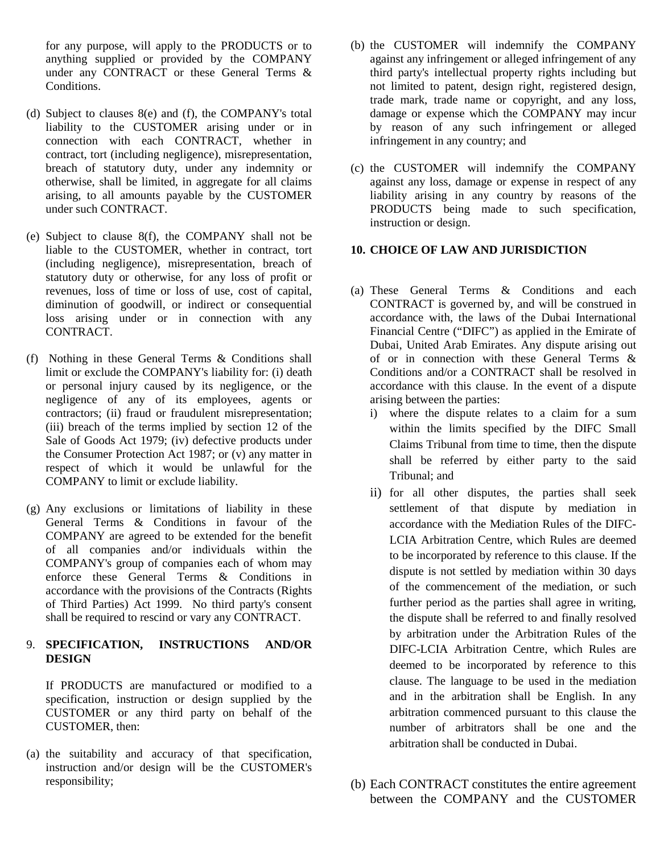for any purpose, will apply to the PRODUCTS or to anything supplied or provided by the COMPANY under any CONTRACT or these General Terms & Conditions.

- (d) Subject to clauses 8(e) and (f), the COMPANY's total liability to the CUSTOMER arising under or in connection with each CONTRACT, whether in contract, tort (including negligence), misrepresentation, breach of statutory duty, under any indemnity or otherwise, shall be limited, in aggregate for all claims arising, to all amounts payable by the CUSTOMER under such CONTRACT.
- (e) Subject to clause 8(f), the COMPANY shall not be liable to the CUSTOMER, whether in contract, tort (including negligence), misrepresentation, breach of statutory duty or otherwise, for any loss of profit or revenues, loss of time or loss of use, cost of capital, diminution of goodwill, or indirect or consequential loss arising under or in connection with any CONTRACT.
- (f) Nothing in these General Terms & Conditions shall limit or exclude the COMPANY's liability for: (i) death or personal injury caused by its negligence, or the negligence of any of its employees, agents or contractors; (ii) fraud or fraudulent misrepresentation; (iii) breach of the terms implied by section 12 of the Sale of Goods Act 1979; (iv) defective products under the Consumer Protection Act 1987; or (v) any matter in respect of which it would be unlawful for the COMPANY to limit or exclude liability.
- (g) Any exclusions or limitations of liability in these General Terms & Conditions in favour of the COMPANY are agreed to be extended for the benefit of all companies and/or individuals within the COMPANY's group of companies each of whom may enforce these General Terms & Conditions in accordance with the provisions of the Contracts (Rights of Third Parties) Act 1999. No third party's consent shall be required to rescind or vary any CONTRACT.

# 9. **SPECIFICATION, INSTRUCTIONS AND/OR DESIGN**

If PRODUCTS are manufactured or modified to a specification, instruction or design supplied by the CUSTOMER or any third party on behalf of the CUSTOMER, then:

(a) the suitability and accuracy of that specification, instruction and/or design will be the CUSTOMER's responsibility;

- (b) the CUSTOMER will indemnify the COMPANY against any infringement or alleged infringement of any third party's intellectual property rights including but not limited to patent, design right, registered design, trade mark, trade name or copyright, and any loss, damage or expense which the COMPANY may incur by reason of any such infringement or alleged infringement in any country; and
- (c) the CUSTOMER will indemnify the COMPANY against any loss, damage or expense in respect of any liability arising in any country by reasons of the PRODUCTS being made to such specification, instruction or design.

# **10. CHOICE OF LAW AND JURISDICTION**

- (a) These General Terms & Conditions and each CONTRACT is governed by, and will be construed in accordance with, the laws of the Dubai International Financial Centre ("DIFC") as applied in the Emirate of Dubai, United Arab Emirates. Any dispute arising out of or in connection with these General Terms & Conditions and/or a CONTRACT shall be resolved in accordance with this clause. In the event of a dispute arising between the parties:
	- i) where the dispute relates to a claim for a sum within the limits specified by the DIFC Small Claims Tribunal from time to time, then the dispute shall be referred by either party to the said Tribunal; and
	- ii) for all other disputes, the parties shall seek settlement of that dispute by mediation in accordance with the Mediation Rules of the DIFC-LCIA Arbitration Centre, which Rules are deemed to be incorporated by reference to this clause. If the dispute is not settled by mediation within 30 days of the commencement of the mediation, or such further period as the parties shall agree in writing, the dispute shall be referred to and finally resolved by arbitration under the Arbitration Rules of the DIFC-LCIA Arbitration Centre, which Rules are deemed to be incorporated by reference to this clause. The language to be used in the mediation and in the arbitration shall be English. In any arbitration commenced pursuant to this clause the number of arbitrators shall be one and the arbitration shall be conducted in Dubai.
- (b) Each CONTRACT constitutes the entire agreement between the COMPANY and the CUSTOMER